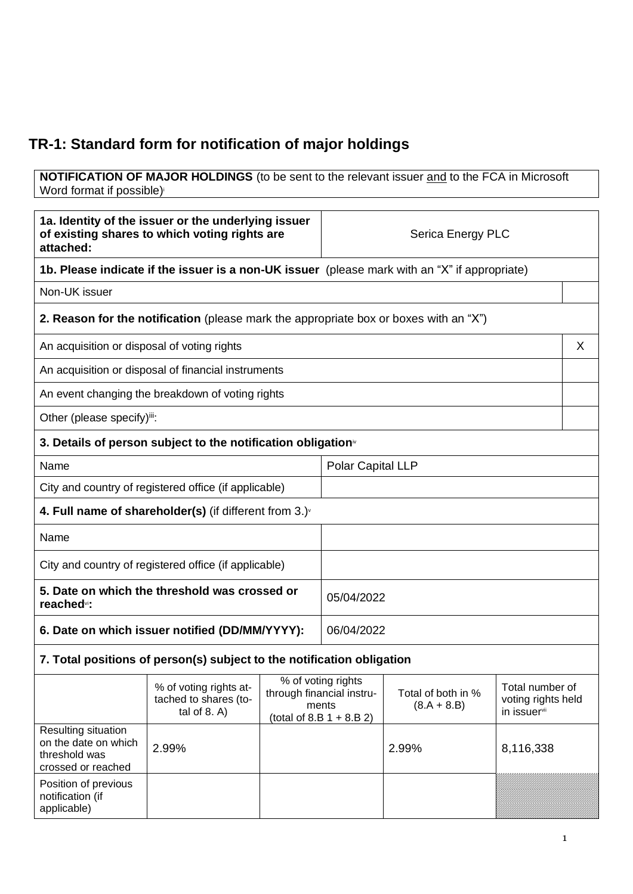## **TR-1: Standard form for notification of major holdings**

**NOTIFICATION OF MAJOR HOLDINGS** (to be sent to the relevant issuer and to the FCA in Microsoft Word format if possible)

| 1a. Identity of the issuer or the underlying issuer<br>of existing shares to which voting rights are<br>attached: |                                                                                       |                                                                                         | Serica Energy PLC                                                                             |                                     |                                                       |   |
|-------------------------------------------------------------------------------------------------------------------|---------------------------------------------------------------------------------------|-----------------------------------------------------------------------------------------|-----------------------------------------------------------------------------------------------|-------------------------------------|-------------------------------------------------------|---|
|                                                                                                                   |                                                                                       |                                                                                         | 1b. Please indicate if the issuer is a non-UK issuer (please mark with an "X" if appropriate) |                                     |                                                       |   |
| Non-UK issuer                                                                                                     |                                                                                       |                                                                                         |                                                                                               |                                     |                                                       |   |
|                                                                                                                   | 2. Reason for the notification (please mark the appropriate box or boxes with an "X") |                                                                                         |                                                                                               |                                     |                                                       |   |
| An acquisition or disposal of voting rights                                                                       |                                                                                       |                                                                                         |                                                                                               |                                     |                                                       | X |
|                                                                                                                   | An acquisition or disposal of financial instruments                                   |                                                                                         |                                                                                               |                                     |                                                       |   |
|                                                                                                                   | An event changing the breakdown of voting rights                                      |                                                                                         |                                                                                               |                                     |                                                       |   |
| Other (please specify)iii:                                                                                        |                                                                                       |                                                                                         |                                                                                               |                                     |                                                       |   |
|                                                                                                                   | 3. Details of person subject to the notification obligation <sup>®</sup>              |                                                                                         |                                                                                               |                                     |                                                       |   |
| Name                                                                                                              |                                                                                       |                                                                                         | Polar Capital LLP                                                                             |                                     |                                                       |   |
| City and country of registered office (if applicable)                                                             |                                                                                       |                                                                                         |                                                                                               |                                     |                                                       |   |
| 4. Full name of shareholder(s) (if different from $3.$ )                                                          |                                                                                       |                                                                                         |                                                                                               |                                     |                                                       |   |
| Name                                                                                                              |                                                                                       |                                                                                         |                                                                                               |                                     |                                                       |   |
| City and country of registered office (if applicable)                                                             |                                                                                       |                                                                                         |                                                                                               |                                     |                                                       |   |
| 5. Date on which the threshold was crossed or<br>reached <sup>vi</sup> :                                          |                                                                                       |                                                                                         | 05/04/2022                                                                                    |                                     |                                                       |   |
| 6. Date on which issuer notified (DD/MM/YYYY):                                                                    |                                                                                       | 06/04/2022                                                                              |                                                                                               |                                     |                                                       |   |
|                                                                                                                   | 7. Total positions of person(s) subject to the notification obligation                |                                                                                         |                                                                                               |                                     |                                                       |   |
|                                                                                                                   | % of voting rights at-<br>tached to shares (to-<br>tal of $8. A$ )                    | % of voting rights<br>through financial instru-<br>ments<br>(total of 8.B $1 + 8.B 2$ ) |                                                                                               | Total of both in %<br>$(8.A + 8.B)$ | Total number of<br>voting rights held<br>in issuervii |   |
| Resulting situation<br>on the date on which<br>threshold was<br>crossed or reached                                | 2.99%                                                                                 |                                                                                         |                                                                                               | 2.99%                               | 8,116,338                                             |   |
| Position of previous<br>notification (if<br>applicable)                                                           |                                                                                       |                                                                                         |                                                                                               |                                     |                                                       |   |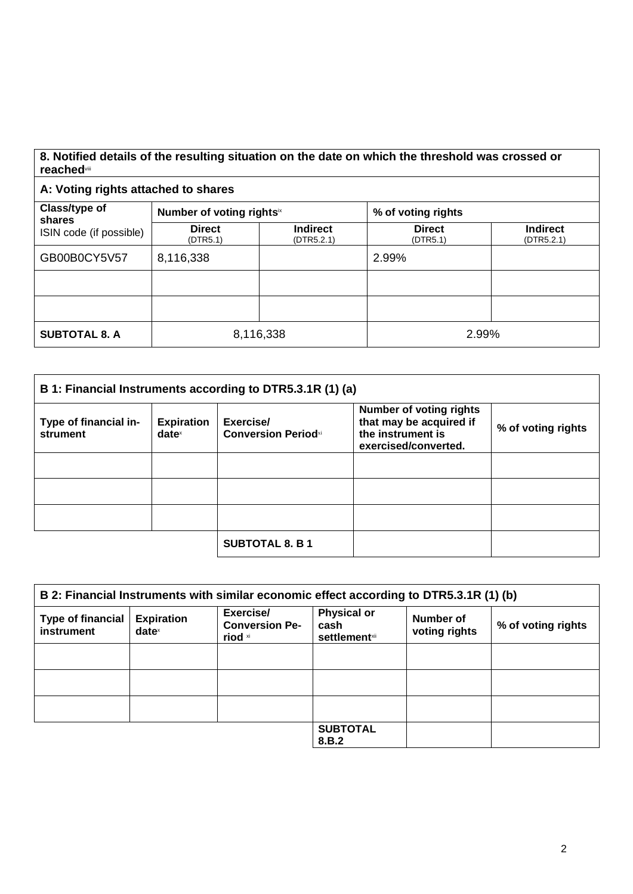## **8. Notified details of the resulting situation on the date on which the threshold was crossed or reached**viii

## **A: Voting rights attached to shares**

| Class/type of<br>shares<br>ISIN code (if possible) | Number of voting rightsix |                               | % of voting rights        |                               |
|----------------------------------------------------|---------------------------|-------------------------------|---------------------------|-------------------------------|
|                                                    | <b>Direct</b><br>(DTR5.1) | <b>Indirect</b><br>(DTR5.2.1) | <b>Direct</b><br>(DTR5.1) | <b>Indirect</b><br>(DTR5.2.1) |
| GB00B0CY5V57                                       | 8,116,338                 |                               | 2.99%                     |                               |
|                                                    |                           |                               |                           |                               |
|                                                    |                           |                               |                           |                               |
| <b>SUBTOTAL 8. A</b>                               | 8,116,338                 |                               | 2.99%                     |                               |

| B 1: Financial Instruments according to DTR5.3.1R (1) (a) |                               |                                         |                                                                                                        |                    |
|-----------------------------------------------------------|-------------------------------|-----------------------------------------|--------------------------------------------------------------------------------------------------------|--------------------|
| Type of financial in-<br>strument                         | <b>Expiration</b><br>$date^x$ | Exercise/<br><b>Conversion Periodxi</b> | <b>Number of voting rights</b><br>that may be acquired if<br>the instrument is<br>exercised/converted. | % of voting rights |
|                                                           |                               |                                         |                                                                                                        |                    |
|                                                           |                               |                                         |                                                                                                        |                    |
|                                                           |                               |                                         |                                                                                                        |                    |
|                                                           |                               | <b>SUBTOTAL 8. B 1</b>                  |                                                                                                        |                    |

| B 2: Financial Instruments with similar economic effect according to DTR5.3.1R (1) (b) |                                                        |                                               |                                                     |                            |                    |
|----------------------------------------------------------------------------------------|--------------------------------------------------------|-----------------------------------------------|-----------------------------------------------------|----------------------------|--------------------|
| <b>Type of financial</b><br>instrument                                                 | <b>Expiration</b><br>$date^{\scriptscriptstyle\times}$ | Exercise/<br><b>Conversion Pe-</b><br>riod xi | <b>Physical or</b><br>cash<br><b>settlement</b> xii | Number of<br>voting rights | % of voting rights |
|                                                                                        |                                                        |                                               |                                                     |                            |                    |
|                                                                                        |                                                        |                                               |                                                     |                            |                    |
|                                                                                        |                                                        |                                               |                                                     |                            |                    |
|                                                                                        |                                                        |                                               | <b>SUBTOTAL</b><br>8.B.2                            |                            |                    |